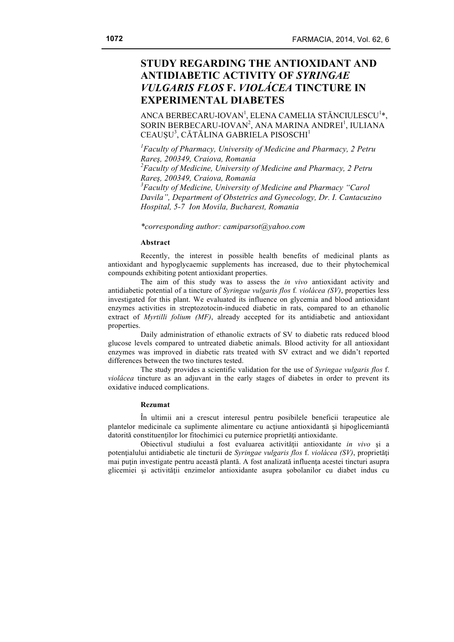# **STUDY REGARDING THE ANTIOXIDANT AND ANTIDIABETIC ACTIVITY OF** *SYRINGAE VULGARIS FLOS* **F.** *VIOLÁCEA* **TINCTURE IN EXPERIMENTAL DIABETES**

ANCA BERBECARU-IOVAN<sup>1</sup>, ELENA CAMELIA STĂNCIULESCU<sup>1</sup>\*, SORIN BERBECARU-IOVAN<sup>2</sup>, ANA MARINA ANDREI<sup>1</sup>, IULIANA CEAUȘU<sup>3</sup>, CĂTĂLINA GABRIELA PISOSCHI<sup>1</sup>

*1 Faculty of Pharmacy, University of Medicine and Pharmacy, 2 Petru Rareş, 200349, Craiova, Romania 2 Faculty of Medicine, University of Medicine and Pharmacy, 2 Petru Rareş, 200349, Craiova, Romania 3 Faculty of Medicine, University of Medicine and Pharmacy "Carol Davila", Department of Obstetrics and Gynecology, Dr. I. Cantacuzino Hospital, 5-7 Ion Movila, Bucharest, Romania*

*\*corresponding author: camiparsot@yahoo.com*

## **Abstract**

Recently, the interest in possible health benefits of medicinal plants as antioxidant and hypoglycaemic supplements has increased, due to their phytochemical compounds exhibiting potent antioxidant properties.

The aim of this study was to assess the *in vivo* antioxidant activity and antidiabetic potential of a tincture of *Syringae vulgaris flos* f*. violácea (SV)*, properties less investigated for this plant. We evaluated its influence on glycemia and blood antioxidant enzymes activities in streptozotocin-induced diabetic in rats, compared to an ethanolic extract of *Myrtilli folium (MF)*, already accepted for its antidiabetic and antioxidant properties.

Daily administration of ethanolic extracts of SV to diabetic rats reduced blood glucose levels compared to untreated diabetic animals. Blood activity for all antioxidant enzymes was improved in diabetic rats treated with SV extract and we didn't reported differences between the two tinctures tested.

The study provides a scientific validation for the use of *Syringae vulgaris flos* f. *violácea* tincture as an adjuvant in the early stages of diabetes in order to prevent its oxidative induced complications.

## **Rezumat**

În ultimii ani a crescut interesul pentru posibilele beneficii terapeutice ale plantelor medicinale ca suplimente alimentare cu actiune antioxidantă și hipoglicemiantă datorită constituenţilor lor fitochimici cu puternice proprietăţi antioxidante.

Obiectivul studiului a fost evaluarea activităţii antioxidante *in vivo* şi a potenţialului antidiabetic ale tincturii de *Syringae vulgaris flos* f. *violácea (SV)*, proprietăţi mai puțin investigate pentru această plantă. A fost analizată influența acestei tincturi asupra glicemiei şi activităţii enzimelor antioxidante asupra şobolanilor cu diabet indus cu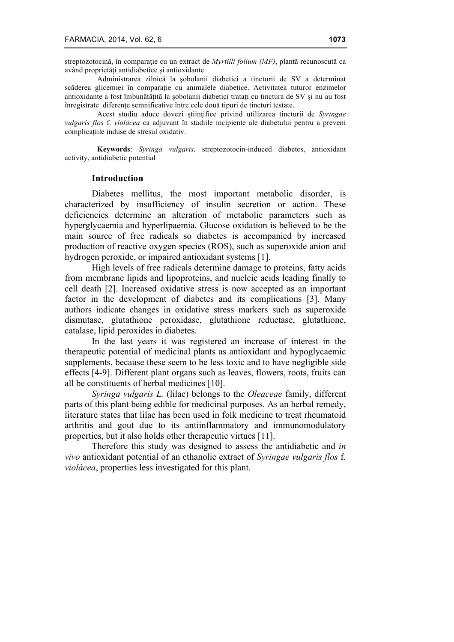streptozotocină, în comparaţie cu un extract de *Myrtilli folium (MF)*, plantă recunoscută ca având proprietăţi antidiabetice şi antioxidante.

Administrarea zilnică la şobolanii diabetici a tincturii de SV a determinat scăderea glicemiei în comparaţie cu animalele diabetice. Activitatea tuturor enzimelor antioxidante a fost îmbunătăţită la şobolanii diabetici trataţi cu tinctura de SV şi nu au fost înregistrate diferente semnificative între cele două tipuri de tincturi testate.

Acest studiu aduce dovezi ştiinţifice privind utilizarea tincturii de *Syringae vulgaris flos* f. *violácea* ca adjuvant în stadiile incipiente ale diabetului pentru a preveni complicatiile induse de stresul oxidativ.

**Keywords**: *Syringa vulgaris,* streptozotocin-induced diabetes, antioxidant activity, antidiabetic potential

## **Introduction**

Diabetes mellitus, the most important metabolic disorder, is characterized by insufficiency of insulin secretion or action. These deficiencies determine an alteration of metabolic parameters such as hyperglycaemia and hyperlipaemia. Glucose oxidation is believed to be the main source of free radicals so diabetes is accompanied by increased production of reactive oxygen species (ROS), such as superoxide anion and hydrogen peroxide, or impaired antioxidant systems [1].

High levels of free radicals determine damage to proteins, fatty acids from membrane lipids and lipoproteins, and nucleic acids leading finally to cell death [2]. Increased oxidative stress is now accepted as an important factor in the development of diabetes and its complications [3]. Many authors indicate changes in oxidative stress markers such as superoxide dismutase, glutathione peroxidase, glutathione reductase, glutathione, catalase, lipid peroxides in diabetes.

In the last years it was registered an increase of interest in the therapeutic potential of medicinal plants as antioxidant and hypoglycaemic supplements, because these seem to be less toxic and to have negligible side effects [4-9]. Different plant organs such as leaves, flowers, roots, fruits can all be constituents of herbal medicines [10].

*Syringa vulgaris L.* (lilac) belongs to the *Oleaceae* family, different parts of this plant being edible for medicinal purposes. As an herbal remedy, literature states that lilac has been used in folk medicine to treat rheumatoid arthritis and gout due to its antiinflammatory and immunomodulatory properties, but it also holds other therapeutic virtues [11].

Therefore this study was designed to assess the antidiabetic and *in vivo* antioxidant potential of an ethanolic extract of *Syringae vulgaris flos* f*. violácea*, properties less investigated for this plant.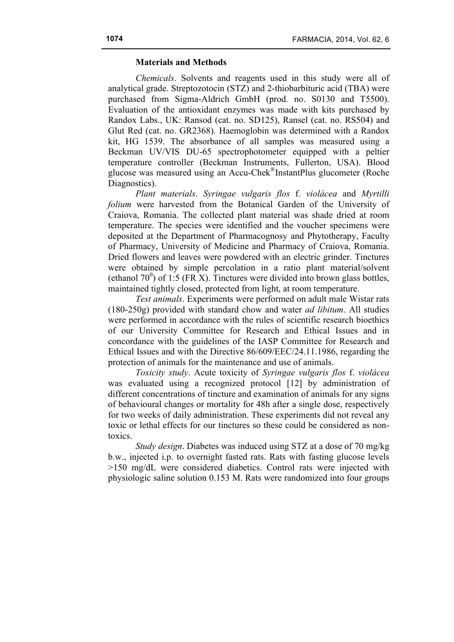# **Materials and Methods**

*Chemicals*. Solvents and reagents used in this study were all of analytical grade. Streptozotocin (STZ) and 2-thiobarbituric acid (TBA) were purchased from Sigma-Aldrich GmbH (prod. no. S0130 and T5500). Evaluation of the antioxidant enzymes was made with kits purchased by Randox Labs., UK: Ransod (cat. no. SD125), Ransel (cat. no. RS504) and Glut Red (cat. no. GR2368). Haemoglobin was determined with a Randox kit, HG 1539. The absorbance of all samples was measured using a Beckman UV/VIS DU-65 spectrophotometer equipped with a peltier temperature controller (Beckman Instruments, Fullerton, USA). Blood glucose was measured using an Accu-Chek®InstantPlus glucometer (Roche Diagnostics).

*Plant materials*. *Syringae vulgaris flos* f. *violácea* and *Myrtilli folium* were harvested from the Botanical Garden of the University of Craiova, Romania. The collected plant material was shade dried at room temperature. The species were identified and the voucher specimens were deposited at the Department of Pharmacognosy and Phytotherapy, Faculty of Pharmacy, University of Medicine and Pharmacy of Craiova, Romania. Dried flowers and leaves were powdered with an electric grinder. Tinctures were obtained by simple percolation in a ratio plant material/solvent (ethanol 70<sup>0</sup>) of 1:5 (FR X). Tinctures were divided into brown glass bottles, maintained tightly closed, protected from light, at room temperature.

*Test animals*. Experiments were performed on adult male Wistar rats (180-250g) provided with standard chow and water *ad libitum*. All studies were performed in accordance with the rules of scientific research bioethics of our University Committee for Research and Ethical Issues and in concordance with the guidelines of the IASP Committee for Research and Ethical Issues and with the Directive 86/609/EEC/24.11.1986, regarding the protection of animals for the maintenance and use of animals.

*Toxicity study*. Acute toxicity of *Syringae vulgaris flos* f. *violácea* was evaluated using a recognized protocol [12] by administration of different concentrations of tincture and examination of animals for any signs of behavioural changes or mortality for 48h after a single dose, respectively for two weeks of daily administration. These experiments did not reveal any toxic or lethal effects for our tinctures so these could be considered as nontoxics.

*Study design*. Diabetes was induced using STZ at a dose of 70 mg/kg b.w., injected i.p. to overnight fasted rats. Rats with fasting glucose levels >150 mg/dL were considered diabetics. Control rats were injected with physiologic saline solution 0.153 M. Rats were randomized into four groups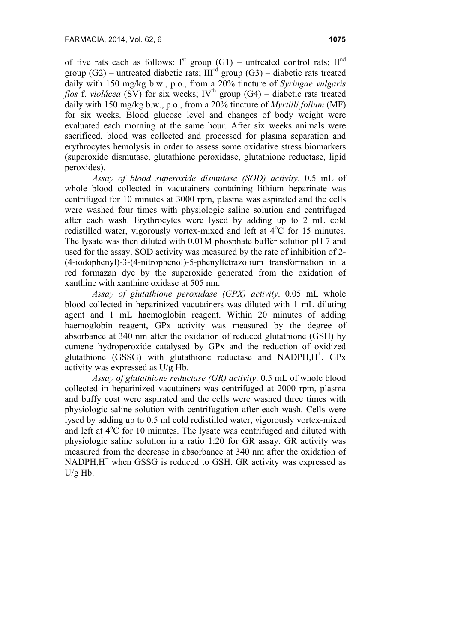of five rats each as follows:  $I^{st}$  group (G1) – untreated control rats;  $II^{nd}$ group  $(G2)$  – untreated diabetic rats;  $III<sup>rd</sup>$  group  $(G3)$  – diabetic rats treated daily with 150 mg/kg b.w., p.o., from a 20% tincture of *Syringae vulgaris flos* f. *violácea* (SV) for six weeks; IV<sup>th</sup> group (G4) – diabetic rats treated daily with 150 mg/kg b.w., p.o., from a 20% tincture of *Myrtilli folium* (MF) for six weeks. Blood glucose level and changes of body weight were evaluated each morning at the same hour. After six weeks animals were sacrificed, blood was collected and processed for plasma separation and erythrocytes hemolysis in order to assess some oxidative stress biomarkers (superoxide dismutase, glutathione peroxidase, glutathione reductase, lipid peroxides).

*Assay of blood superoxide dismutase (SOD) activity*. 0.5 mL of whole blood collected in vacutainers containing lithium heparinate was centrifuged for 10 minutes at 3000 rpm, plasma was aspirated and the cells were washed four times with physiologic saline solution and centrifuged after each wash. Erythrocytes were lysed by adding up to 2 mL cold redistilled water, vigorously vortex-mixed and left at  $4^{\circ}$ C for 15 minutes. The lysate was then diluted with 0.01M phosphate buffer solution pH 7 and used for the assay. SOD activity was measured by the rate of inhibition of 2- (4-iodophenyl)-3-(4-nitrophenol)-5-phenyltetrazolium transformation in a red formazan dye by the superoxide generated from the oxidation of xanthine with xanthine oxidase at 505 nm.

*Assay of glutathione peroxidase (GPX) activity*. 0.05 mL whole blood collected in heparinized vacutainers was diluted with 1 mL diluting agent and 1 mL haemoglobin reagent. Within 20 minutes of adding haemoglobin reagent, GPx activity was measured by the degree of absorbance at 340 nm after the oxidation of reduced glutathione (GSH) by cumene hydroperoxide catalysed by GPx and the reduction of oxidized glutathione  $(GSSG)$  with glutathione reductase and NADPH, H<sup>+</sup>.  $GPX$ activity was expressed as U/g Hb.

*Assay of glutathione reductase (GR) activity*. 0.5 mL of whole blood collected in heparinized vacutainers was centrifuged at 2000 rpm, plasma and buffy coat were aspirated and the cells were washed three times with physiologic saline solution with centrifugation after each wash. Cells were lysed by adding up to 0.5 ml cold redistilled water, vigorously vortex-mixed and left at  $4^{\circ}$ C for 10 minutes. The lysate was centrifuged and diluted with physiologic saline solution in a ratio 1:20 for GR assay. GR activity was measured from the decrease in absorbance at 340 nm after the oxidation of  $NADPH, H^+$  when GSSG is reduced to GSH. GR activity was expressed as U/g Hb.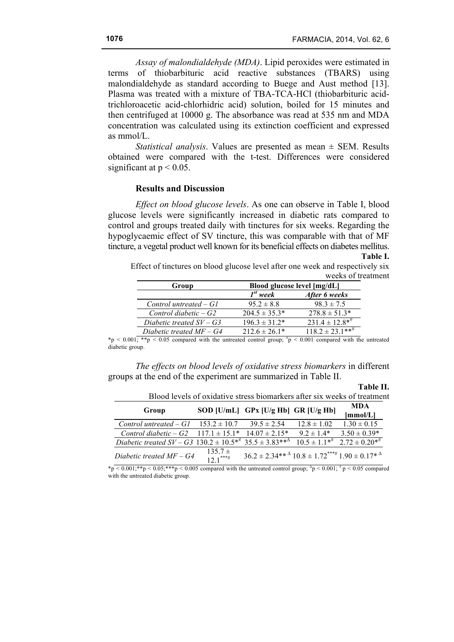**Table II.**

*Assay of malondialdehyde (MDA)*. Lipid peroxides were estimated in terms of thiobarbituric acid reactive substances (TBARS) using malondialdehyde as standard according to Buege and Aust method [13]. Plasma was treated with a mixture of TBA-TCA-HCl (thiobarbituric acidtrichloroacetic acid-chlorhidric acid) solution, boiled for 15 minutes and then centrifuged at 10000 g. The absorbance was read at 535 nm and MDA concentration was calculated using its extinction coefficient and expressed as mmol/L.

*Statistical analysis*. Values are presented as mean ± SEM. Results obtained were compared with the t-test. Differences were considered significant at  $p < 0.05$ .

# **Results and Discussion**

*Effect on blood glucose levels*. As one can observe in Table I, blood glucose levels were significantly increased in diabetic rats compared to control and groups treated daily with tinctures for six weeks. Regarding the hypoglycaemic effect of SV tincture, this was comparable with that of MF tincture, a vegetal product well known for its beneficial effects on diabetes mellitus. **Table I.**

Effect of tinctures on blood glucose level after one week and respectively six weeks of treatment

| Group                      | Blood glucose level [mg/dL] |                                |  |  |
|----------------------------|-----------------------------|--------------------------------|--|--|
|                            | $I^{st}$ week               | After 6 weeks                  |  |  |
| Control untreated $-GI$    | $952 \pm 88$                | $98.3 \pm 7.5$                 |  |  |
| Control diabetic $-G2$     | $204.5 \pm 35.3^*$          | $278.8 \pm 51.3*$              |  |  |
| Diabetic treated $SV - G3$ | $196.3 \pm 31.2^*$          | $231.4 \pm 12.8$ <sup>**</sup> |  |  |
| Diabetic treated $MF - G4$ | $212.6 \pm 26.1*$           | $118.2 \pm 23.1***$            |  |  |

\*p < 0.001; \*\*p < 0.05 compared with the untreated control group;  $\pi$  = 0.001 compared with the untreated diabetic group.

*The effects on blood levels of oxidative stress biomarkers* in different groups at the end of the experiment are summarized in Table II.

| Blood levels of oxidative stress biomarkers after six weeks of treatment                                 |                     |                                                                               |                 |                                        |  |
|----------------------------------------------------------------------------------------------------------|---------------------|-------------------------------------------------------------------------------|-----------------|----------------------------------------|--|
| Group                                                                                                    |                     | SOD [U/mL] GPx [U/g Hb] GR [U/g Hb]                                           |                 | <b>MDA</b><br>[mmol/L]                 |  |
| Control untreated $-GI$                                                                                  | $153.2 \pm 10.7$    | $39.5 \pm 2.54$                                                               | $12.8 \pm 1.02$ | $1.30 \pm 0.15$                        |  |
| Control diabetic – G2 $117.1 \pm 15.1^*$                                                                 |                     | $14.07 \pm 2.15*$                                                             | $9.2 \pm 1.4*$  | $3.50 \pm 0.39*$                       |  |
| Diabetic treated SV – G3 130.2 $\pm$ 10.5 <sup>**</sup> 35.5 $\pm$ 3.83** <sup><math>\Delta</math></sup> |                     |                                                                               |                 | $10.5 \pm 1.1^{*}$ $2.72 \pm 0.20^{*}$ |  |
| Diabetic treated $MF - G4$                                                                               | $135.7 \pm 12.1***$ | $36.2 \pm 2.34**^{\circ}$ $10.8 \pm 1.72***^{\circ}$ $1.90 \pm 0.17*^{\circ}$ |                 |                                        |  |

\*p < 0.001;\*\*p < 0.05;\*\*\*p < 0.005 compared with the untreated control group;  $^{4}$ p < 0.001;  $^{#}$ p < 0.05 compared with the untreated diabetic group.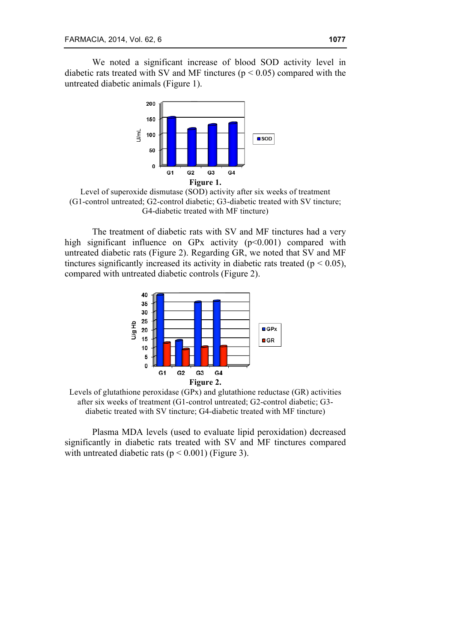We noted a significant increase of blood SOD activity level in diabetic rats treated with SV and MF tinctures ( $p < 0.05$ ) compared with the untreated diabetic animals (Figure 1).



Level of superoxide dismutase (SOD) activity after six weeks of treatment (G1-control untreated; G2-control diabetic; G3-diabetic treated with SV tincture; G4-diabetic treated with MF tincture)

The treatment of diabetic rats with SV and MF tinctures had a very high significant influence on GPx activity  $(p<0.001)$  compared with untreated diabetic rats (Figure 2). Regarding GR, we noted that SV and MF tinctures significantly increased its activity in diabetic rats treated ( $p < 0.05$ ), compared with untreated diabetic controls (Figure 2).



Levels of glutathione peroxidase (GPx) and glutathione reductase (GR) activities after six weeks of treatment (G1-control untreated; G2-control diabetic; G3 diabetic treated with SV tincture; G4-diabetic treated with MF tincture)

Plasma MDA levels (used to evaluate lipid peroxidation) decreased significantly in diabetic rats treated with SV and MF tinctures compared with untreated diabetic rats ( $p < 0.001$ ) (Figure 3).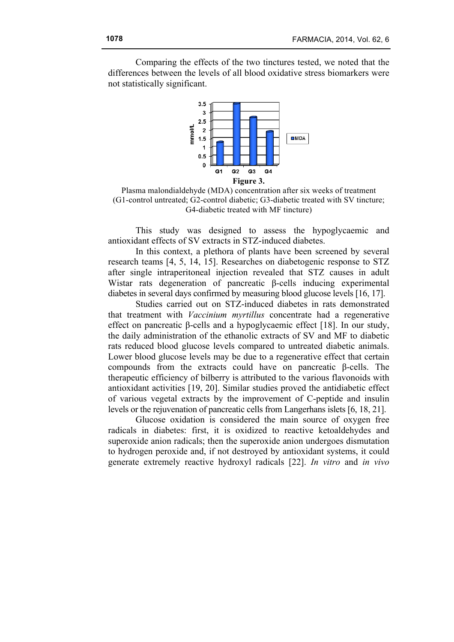Comparing the effects of the two tinctures tested, we noted that the differences between the levels of all blood oxidative stress biomarkers were not statistically significant.



Plasma malondialdehyde (MDA) concentration after six weeks of treatment (G1-control untreated; G2-control diabetic; G3-diabetic treated with SV tincture; G4-diabetic treated with MF tincture)

This study was designed to assess the hypoglycaemic and antioxidant effects of SV extracts in STZ-induced diabetes.

In this context, a plethora of plants have been screened by several research teams [4, 5, 14, 15]. Researches on diabetogenic response to STZ after single intraperitoneal injection revealed that STZ causes in adult Wistar rats degeneration of pancreatic β-cells inducing experimental diabetes in several days confirmed by measuring blood glucose levels [16, 17].

Studies carried out on STZ-induced diabetes in rats demonstrated that treatment with *Vaccinium myrtillus* concentrate had a regenerative effect on pancreatic β-cells and a hypoglycaemic effect [18]. In our study, the daily administration of the ethanolic extracts of SV and MF to diabetic rats reduced blood glucose levels compared to untreated diabetic animals. Lower blood glucose levels may be due to a regenerative effect that certain compounds from the extracts could have on pancreatic β-cells. The therapeutic efficiency of bilberry is attributed to the various flavonoids with antioxidant activities [19, 20]. Similar studies proved the antidiabetic effect of various vegetal extracts by the improvement of C-peptide and insulin levels or the rejuvenation of pancreatic cells from Langerhans islets [6, 18, 21].

Glucose oxidation is considered the main source of oxygen free radicals in diabetes: first, it is oxidized to reactive ketoaldehydes and superoxide anion radicals; then the superoxide anion undergoes dismutation to hydrogen peroxide and, if not destroyed by antioxidant systems, it could generate extremely reactive hydroxyl radicals [22]. *In vitro* and *in vivo*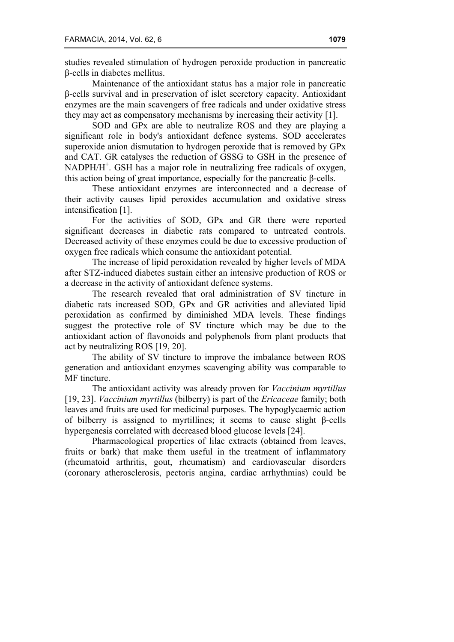studies revealed stimulation of hydrogen peroxide production in pancreatic β-cells in diabetes mellitus.

Maintenance of the antioxidant status has a major role in pancreatic β-cells survival and in preservation of islet secretory capacity. Antioxidant enzymes are the main scavengers of free radicals and under oxidative stress they may act as compensatory mechanisms by increasing their activity [1].

SOD and GPx are able to neutralize ROS and they are playing a significant role in body's antioxidant defence systems. SOD accelerates superoxide anion dismutation to hydrogen peroxide that is removed by GPx and CAT. GR catalyses the reduction of GSSG to GSH in the presence of NADPH/H<sup>+</sup>. GSH has a major role in neutralizing free radicals of oxygen, this action being of great importance, especially for the pancreatic β-cells.

These antioxidant enzymes are interconnected and a decrease of their activity causes lipid peroxides accumulation and oxidative stress intensification [1].

For the activities of SOD, GPx and GR there were reported significant decreases in diabetic rats compared to untreated controls. Decreased activity of these enzymes could be due to excessive production of oxygen free radicals which consume the antioxidant potential.

The increase of lipid peroxidation revealed by higher levels of MDA after STZ-induced diabetes sustain either an intensive production of ROS or a decrease in the activity of antioxidant defence systems.

The research revealed that oral administration of SV tincture in diabetic rats increased SOD, GPx and GR activities and alleviated lipid peroxidation as confirmed by diminished MDA levels. These findings suggest the protective role of SV tincture which may be due to the antioxidant action of flavonoids and polyphenols from plant products that act by neutralizing ROS [19, 20].

The ability of SV tincture to improve the imbalance between ROS generation and antioxidant enzymes scavenging ability was comparable to MF tincture.

The antioxidant activity was already proven for *Vaccinium myrtillus*  [19, 23]. *Vaccinium myrtillus* (bilberry) is part of the *Ericaceae* family; both leaves and fruits are used for medicinal purposes. The hypoglycaemic action of bilberry is assigned to myrtillines; it seems to cause slight β-cells hypergenesis correlated with decreased blood glucose levels [24].

Pharmacological properties of lilac extracts (obtained from leaves, fruits or bark) that make them useful in the treatment of inflammatory (rheumatoid arthritis, gout, rheumatism) and cardiovascular disorders (coronary atherosclerosis, pectoris angina, cardiac arrhythmias) could be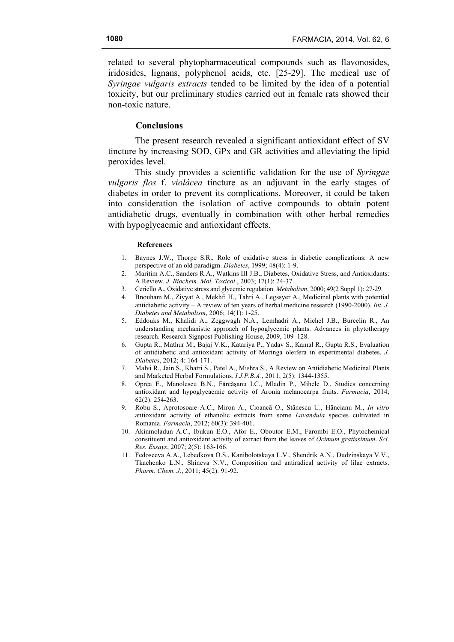related to several phytopharmaceutical compounds such as flavonosides, iridosides, lignans, polyphenol acids, etc. [25-29]. The medical use of *Syringae vulgaris extracts* tended to be limited by the idea of a potential toxicity, but our preliminary studies carried out in female rats showed their non-toxic nature.

## **Conclusions**

The present research revealed a significant antioxidant effect of SV tincture by increasing SOD, GPx and GR activities and alleviating the lipid peroxides level.

This study provides a scientific validation for the use of *Syringae vulgaris flos* f. *violácea* tincture as an adjuvant in the early stages of diabetes in order to prevent its complications. Moreover, it could be taken into consideration the isolation of active compounds to obtain potent antidiabetic drugs, eventually in combination with other herbal remedies with hypoglycaemic and antioxidant effects.

#### **References**

- 1. Baynes J.W., Thorpe S.R., Role of oxidative stress in diabetic complications: A new perspective of an old paradigm. *Diabetes*, 1999; 48(4): 1-9.
- 2. Maritim A.C., Sanders R.A., Watkins III J.B., Diabetes, Oxidative Stress, and Antioxidants: A Review. *J. Biochem. Mol. Toxicol*., 2003; 17(1): 24-37.
- 3. Ceriello A., Oxidative stress and glycemic regulation. *Metabolism*, 2000; 49(2 Suppl 1): 27-29.
- 4. Bnouham M., Ziyyat A., Mekhfi H., Tahri A., Legssyer A., Medicinal plants with potential antidiabetic activity – A review of ten years of herbal medicine research (1990-2000). *Int. J. Diabetes and Metabolism*, 2006; 14(1): 1-25.
- 5. Eddouks M., Khalidi A., Zeggwagh N.A., Lemhadri A., Michel J.B., Burcelin R., An understanding mechanistic approach of hypoglycemic plants. Advances in phytotherapy research. Research Signpost Publishing House, 2009, 109–128.
- 6. Gupta R., Mathur M., Bajaj V.K., Katariya P., Yadav S., Kamal R., Gupta R.S., Evaluation of antidiabetic and antioxidant activity of Moringa oleifera in experimental diabetes. *J. Diabetes*, 2012; 4: 164-171.
- 7. Malvi R., Jain S., Khatri S., Patel A., Mishra S., A Review on Antidiabetic Medicinal Plants and Marketed Herbal Formulations. *I.J.P.B.A*., 2011; 2(5): 1344-1355.
- 8. Oprea E., Manolescu B.N., Fărcăşanu I.C., Mladin P., Mihele D., Studies concerning antioxidant and hypoglycaemic activity of Aronia melanocarpa fruits. *Farmacia*, 2014; 62(2): 254-263.
- 9. Robu S., Aprotosoaie A.C., Miron A., Cioancă O., Stănescu U., Hăncianu M., *In vitro* antioxidant activity of ethanolic extracts from some *Lavandula* species cultivated in Romania. *Farmacia*, 2012; 60(3): 394-401.
- 10. Akinmoladun A.C., Ibukun E.O., Afor E., Oboutor E.M., Farombi E.O., Phytochemical constituent and antioxidant activity of extract from the leaves of *Ocimum gratissimum*. *Sci. Res. Essays*, 2007; 2(5): 163-166.
- 11. Fedoseeva A.A., Lebedkova O.S., Kanibolotskaya L.V., Shendrik A.N., Dudzinskaya V.V., Tkachenko L.N., Shineva N.V., Composition and antiradical activity of lilac extracts. *Pharm. Chem. J*., 2011; 45(2): 91-92.